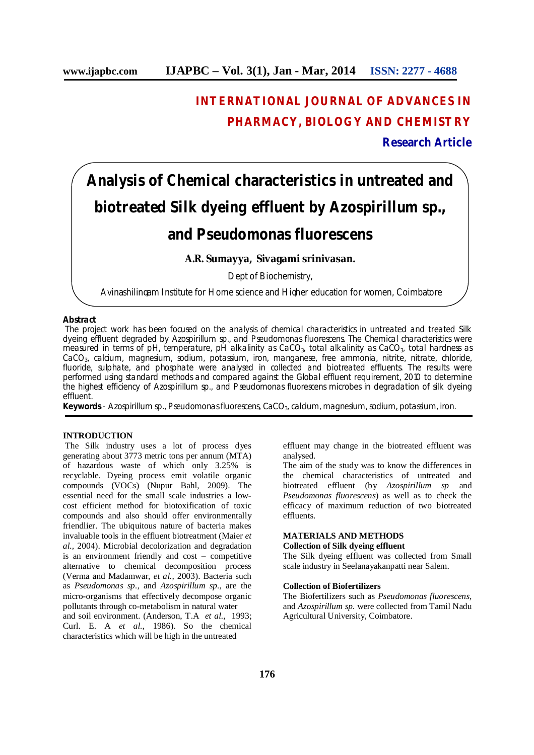# **INTERNATIONAL JOURNAL OF ADVANCES IN PHARMACY, BIOLOGY AND CHEMISTRY**

# **Research Article**

# **Analysis of Chemical characteristics in untreated and biotreated Silk dyeing effluent by** *Azospirillum sp***.,**

# **and** *Pseudomonas fluorescens*

# **A.R. Sumayya, Sivagami srinivasan.**

Dept of Biochemistry,

Avinashilingam Institute for Home science and Higher education for women, Coimbatore

# **Abstract**

The project work has been focused on the analysis of chemical characteristics in untreated and treated Silk dyeing effluent degraded by *Azospirillum sp.,* and *Pseudomonas fluorescens*. The Chemical characteristics were measured in terms of pH, temperature, pH alkalinity as CaCO<sub>3</sub>, total alkalinity as CaCO<sub>3</sub>, total hardness as CaCO3, calcium, magnesium, sodium, potassium, iron, manganese, free ammonia, nitrite, nitrate, chloride, fluoride, sulphate, and phosphate were analysed in collected and biotreated effluents. The results were performed using standard methods and compared against the Global effluent requirement, 2010 to determine the highest efficiency of *Azospirillum sp.,* and *Pseudomonas fluorescens* microbes in degradation of silk dyeing effluent.

**Keywords** - *Azospirillum sp., Pseudomonas fluorescens,* CaCO3, calcium, magnesium, sodium, potassium, iron.

### **INTRODUCTION**

The Silk industry uses a lot of process dyes generating about 3773 metric tons per annum (MTA) of hazardous waste of which only 3.25% is recyclable. Dyeing process emit volatile organic compounds (VOCs) (Nupur Bahl, 2009). The essential need for the small scale industries a lowcost efficient method for biotoxification of toxic compounds and also should offer environmentally friendlier. The ubiquitous nature of bacteria makes invaluable tools in the effluent biotreatment (Maier *et al.,* 2004). Microbial decolorization and degradation is an environment friendly and cost – competitive alternative to chemical decomposition process (Verma and Madamwar, *et al.,* 2003). Bacteria such as *Pseudomonas sp.,* and *Azospirillum sp.,* are the micro-organisms that effectively decompose organic pollutants through co-metabolism in natural water and soil environment. (Anderson, T.A *et al.,* 1993; Curl. E. A *et al.,* 1986). So the chemical

characteristics which will be high in the untreated

effluent may change in the biotreated effluent was analysed.

The aim of the study was to know the differences in the chemical characteristics of untreated and biotreated effluent (by *Azospirillum sp* and *Pseudomonas fluorescens*) as well as to check the efficacy of maximum reduction of two biotreated effluents.

# **MATERIALS AND METHODS**

# **Collection of Silk dyeing effluent**

The Silk dyeing effluent was collected from Small scale industry in Seelanayakanpatti near Salem.

#### **Collection of Biofertilizers**

The Biofertilizers such as *Pseudomonas fluorescens,*  and *Azospirillum sp.* were collected from Tamil Nadu Agricultural University, Coimbatore.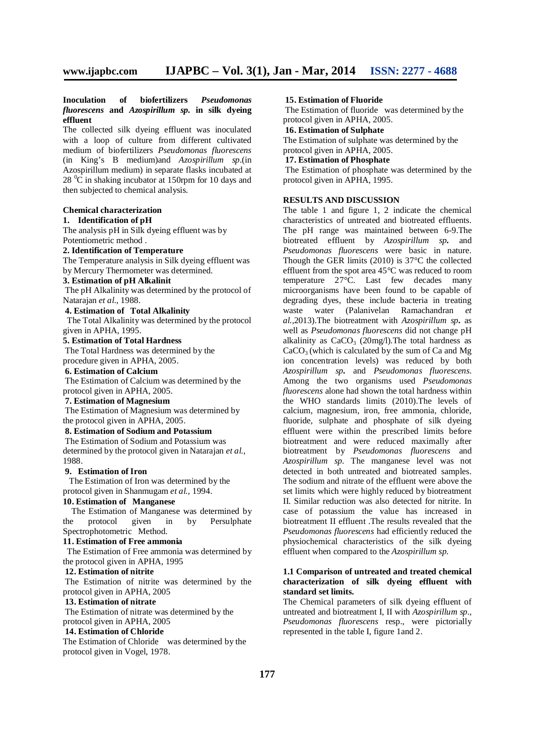#### **Inoculation of biofertilizers** *Pseudomonas fluorescens* **and** *Azospirillum sp.* **in silk dyeing effluent**

The collected silk dyeing effluent was inoculated with a loop of culture from different cultivated medium of biofertilizers *Pseudomonas fluorescens* (in King's B medium)and *Azospirillum sp.*(in Azospirillum medium) in separate flasks incubated at  $28 \degree$ C in shaking incubator at 150rpm for 10 days and then subjected to chemical analysis.

**Chemical characterization**

# **1. Identification of pH**

The analysis pH in Silk dyeing effluent was by Potentiometric method .

**2. Identification of Temperature**

The Temperature analysis in Silk dyeing effluent was by Mercury Thermometer was determined.

# **3. Estimation of pH Alkalinit**

The pH Alkalinity was determined by the protocol of Natarajan *et al*., 1988.

# **4. Estimation of Total Alkalinity**

The Total Alkalinity was determined by the protocol given in APHA, 1995.

#### **5. Estimation of Total Hardness**

The Total Hardness was determined by the procedure given in APHA, 2005.

#### **6. Estimation of Calcium**

The Estimation of Calcium was determined by the protocol given in APHA, 2005.

#### **7. Estimation of Magnesium**

The Estimation of Magnesium was determined by the protocol given in APHA, 2005.

#### **8. Estimation of Sodium and Potassium** The Estimation of Sodium and Potassium was

determined by the protocol given in Natarajan *et al.,* 1988.

# **9. Estimation of Iron**

The Estimation of Iron was determined by the protocol given in Shanmugam *et al.,* 1994.

# **10. Estimation of Manganese**

The Estimation of Manganese was determined by the protocol given in by Persulphate Spectrophotometric Method.

#### **11. Estimation of Free ammonia**

 The Estimation of Free ammonia was determined by the protocol given in APHA, 1995

#### **12. Estimation of nitrite**

The Estimation of nitrite was determined by the protocol given in APHA, 2005

#### **13. Estimation of nitrate**

The Estimation of nitrate was determined by the protocol given in APHA, 2005

#### **14. Estimation of Chloride**

The Estimation of Chloridewas determined by the protocol given in Vogel, 1978.

#### **15. Estimation of Fluoride**

The Estimation of fluoride was determined by the protocol given in APHA, 2005.

#### **16. Estimation of Sulphate**

The Estimation of sulphate was determined by the protocol given in APHA, 2005.

#### **17. Estimation of Phosphate**

The Estimation of phosphate was determined by the protocol given in APHA, 1995.

#### **RESULTS AND DISCUSSION**

The table 1 and figure 1, 2 indicate the chemical characteristics of untreated and biotreated effluents. The pH range was maintained between 6-9.The biotreated effluent by *Azospirillum sp.* and *Pseudomonas fluorescens* were basic in nature. Though the GER limits (2010) is  $37^{\circ}$ C the collected effluent from the spot area 45°C was reduced to room temperature  $27^{\circ}$ C. Last few decades many microorganisms have been found to be capable of degrading dyes, these include bacteria in treating waste water (Palanivelan Ramachandran *et al.,*2013).The biotreatment with *Azospirillum sp.* as well as *Pseudomonas fluorescens* did not change pH alkalinity as  $CaCO<sub>3</sub>$  (20mg/l). The total hardness as  $CaCO<sub>3</sub>$  (which is calculated by the sum of Ca and Mg ion concentration levels) was reduced by both *Azospirillum sp.* and *Pseudomonas fluorescens*. Among the two organisms used *Pseudomonas fluorescens* alone had shown the total hardness within the WHO standards limits (2010).The levels of calcium, magnesium, iron, free ammonia, chloride, fluoride, sulphate and phosphate of silk dyeing effluent were within the prescribed limits before biotreatment and were reduced maximally after biotreatment by *Pseudomonas fluorescens* and *Azospirillum sp.* The manganese level was not detected in both untreated and biotreated samples. The sodium and nitrate of the effluent were above the set limits which were highly reduced by biotreatment II. Similar reduction was also detected for nitrite. In case of potassium the value has increased in biotreatment II effluent .The results revealed that the *Pseudomonas fluorescens* had efficiently reduced the physiochemical characteristics of the silk dyeing effluent when compared to the *Azospirillum sp.*

#### **1.1 Comparison of untreated and treated chemical characterization of silk dyeing effluent with standard set limits.**

The Chemical parameters of silk dyeing effluent of untreated and biotreatment I, II with *Azospirillum sp., Pseudomonas fluorescens* resp., were pictorially represented in the table I, figure 1and 2.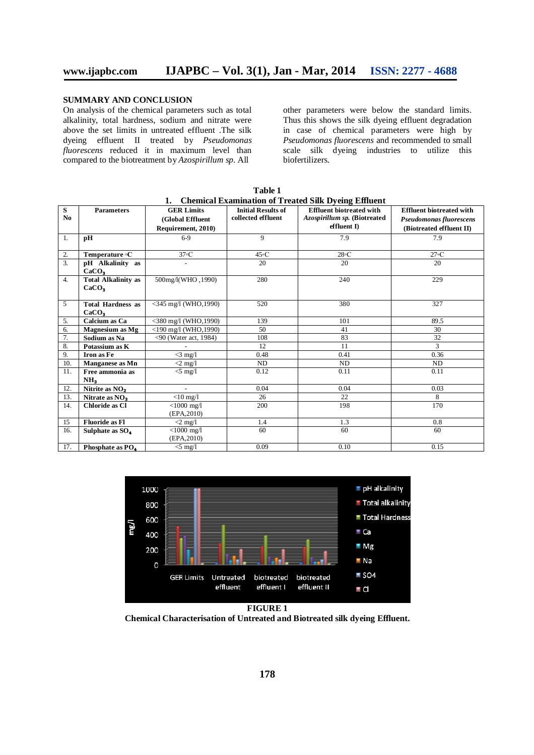### **SUMMARY AND CONCLUSION**

On analysis of the chemical parameters such as total alkalinity, total hardness, sodium and nitrate were above the set limits in untreated effluent .The silk dyeing effluent II treated by *Pseudomonas fluorescens* reduced it in maximum level than compared to the biotreatment by *Azospirillum sp.* All

other parameters were below the standard limits. Thus this shows the silk dyeing effluent degradation in case of chemical parameters were high by *Pseudomonas fluorescens* and recommended to small scale silk dyeing industries to utilize this biofertilizers*.*

| S              | <b>Parameters</b>            | <b>GER Limits</b>                | <b>Initial Results of</b> | Chemical Laammaton of Freated Omy Dyemg Limacht<br><b>Effluent biotreated with</b> | <b>Effluent biotreated with</b> |
|----------------|------------------------------|----------------------------------|---------------------------|------------------------------------------------------------------------------------|---------------------------------|
| N <sub>0</sub> |                              | (Global Effluent                 | collected effluent        | Azospirillum sp. (Biotreated                                                       | Pseudomonas fluorescens         |
|                |                              | Requirement, 2010)               |                           | $eff$ luent I)                                                                     | (Biotreated effluent II)        |
| 1.             | pН                           | $6-9$                            | 9                         | 7.9                                                                                | 7.9                             |
|                |                              |                                  |                           |                                                                                    |                                 |
| 2.             | Temperature °C               | 37°C                             | $45\textdegree C$         | 28°C                                                                               | 27°C                            |
| 3.             | pH Alkalinity as             | $\overline{a}$                   | 20                        | 20                                                                                 | 20                              |
|                | CaCO <sub>3</sub>            |                                  |                           |                                                                                    |                                 |
| 4.             | <b>Total Alkalinity as</b>   | 500mg/l(WHO, 1990)               | 280                       | 240                                                                                | 229                             |
|                | CaCO <sub>3</sub>            |                                  |                           |                                                                                    |                                 |
|                |                              |                                  |                           |                                                                                    |                                 |
| 5              | <b>Total Hardness as</b>     | $<$ 345 mg/l (WHO,1990)          | 520                       | 380                                                                                | 327                             |
|                | CaCO <sub>3</sub>            |                                  |                           |                                                                                    |                                 |
| 5.             | Calcium as Ca                | $<$ 380 mg/l (WHO,1990)          | 139                       | 101                                                                                | 89.5                            |
| 6.             | Magnesium as Mg              | <190 mg/l (WHO,1990)             | 50                        | 41                                                                                 | 30                              |
| 7.             | Sodium as Na                 | <90 (Water act, 1984)            | 108                       | 83                                                                                 | 32                              |
| 8.             | Potassium as K               |                                  | 12                        | 11                                                                                 | 3                               |
| 9.             | Iron as Fe                   | $\langle 3 \text{ mg}/1 \rangle$ | 0.48                      | 0.41                                                                               | 0.36                            |
| 10.            | Manganese as Mn              | $\langle 2 \text{ mg}/1 \rangle$ | ND                        | ND                                                                                 | ND                              |
| 11.            | Free ammonia as              | $\leq$ mg/l                      | 0.12                      | 0.11                                                                               | 0.11                            |
|                | NH <sub>3</sub>              |                                  |                           |                                                                                    |                                 |
| 12.            | Nitrite as $NO2$             | $\overline{a}$                   | 0.04                      | 0.04                                                                               | 0.03                            |
| 13.            | Nitrate as NO <sub>3</sub>   | $<$ 10 mg/l                      | 26                        | 22                                                                                 | 8                               |
| 14.            | <b>Chloride as Cl</b>        | $<$ 1000 mg/l                    | 200                       | 198                                                                                | 170                             |
|                |                              | (EPA, 2010)                      |                           |                                                                                    |                                 |
| 15             | <b>Fluoride as Fl</b>        | $\langle 2 \text{ mg}/1 \rangle$ | 1.4                       | 1.3                                                                                | 0.8                             |
| 16.            | Sulphate as SO <sub>4</sub>  | $<$ 1000 mg/l                    | 60                        | 60                                                                                 | 60                              |
|                |                              | (EPA, 2010)                      |                           |                                                                                    |                                 |
| 17.            | Phosphate as PO <sub>4</sub> | $<$ 5 mg/l                       | 0.09                      | 0.10                                                                               | 0.15                            |

**Table 1 1. Chemical Examination of Treated Silk Dyeing Effluent**



**Chemical Characterisation of Untreated and Biotreated silk dyeing Effluent.**